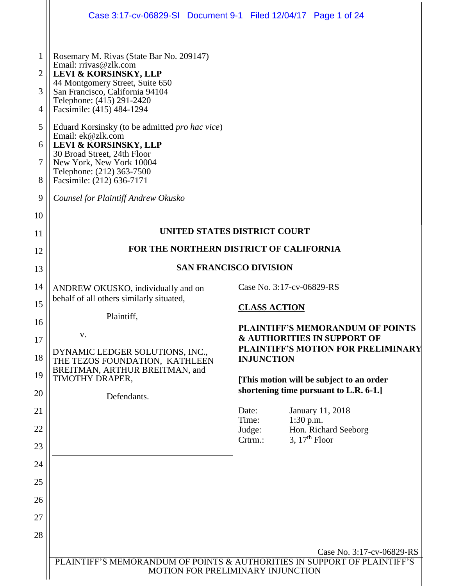|                                                                                 | Case 3:17-cv-06829-SI Document 9-1 Filed 12/04/17 Page 1 of 24                                                                                                                                                                                                                                                                                                                                                                                                                                                                                                                                                                                             |  |  |
|---------------------------------------------------------------------------------|------------------------------------------------------------------------------------------------------------------------------------------------------------------------------------------------------------------------------------------------------------------------------------------------------------------------------------------------------------------------------------------------------------------------------------------------------------------------------------------------------------------------------------------------------------------------------------------------------------------------------------------------------------|--|--|
| 1<br>$\overline{2}$<br>3<br>$\overline{4}$<br>5<br>6<br>7<br>8<br>9<br>10<br>11 | Rosemary M. Rivas (State Bar No. 209147)<br>Email: rrivas@zlk.com<br>LEVI & KORSINSKY, LLP<br>44 Montgomery Street, Suite 650<br>San Francisco, California 94104<br>Telephone: (415) 291-2420<br>Facsimile: (415) 484-1294<br>Eduard Korsinsky (to be admitted <i>pro hac vice</i> )<br>Email: ek@zlk.com<br>LEVI & KORSINSKY, LLP<br>30 Broad Street, 24th Floor<br>New York, New York 10004<br>Telephone: (212) 363-7500<br>Facsimile: (212) 636-7171<br><b>Counsel for Plaintiff Andrew Okusko</b><br>UNITED STATES DISTRICT COURT                                                                                                                      |  |  |
| 12                                                                              | FOR THE NORTHERN DISTRICT OF CALIFORNIA                                                                                                                                                                                                                                                                                                                                                                                                                                                                                                                                                                                                                    |  |  |
| 13                                                                              | <b>SAN FRANCISCO DIVISION</b>                                                                                                                                                                                                                                                                                                                                                                                                                                                                                                                                                                                                                              |  |  |
| 14<br>15<br>16<br>17<br>18<br>19<br>20<br>21<br>22<br>23<br>24<br>25            | Case No. 3:17-cv-06829-RS<br>ANDREW OKUSKO, individually and on<br>behalf of all others similarly situated,<br><b>CLASS ACTION</b><br>Plaintiff,<br><b>PLAINTIFF'S MEMORANDUM OF POINTS</b><br>V.<br><b>&amp; AUTHORITIES IN SUPPORT OF</b><br>PLAINTIFF'S MOTION FOR PRELIMINARY<br>DYNAMIC LEDGER SOLUTIONS, INC.,<br><b>INJUNCTION</b><br>THE TEZOS FOUNDATION, KATHLEEN<br>BREITMAN, ARTHUR BREITMAN, and<br>TIMOTHY DRAPER,<br>[This motion will be subject to an order<br>shortening time pursuant to L.R. 6-1.]<br>Defendants.<br>Date:<br>January 11, 2018<br>Time:<br>$1:30$ p.m.<br>Judge:<br>Hon. Richard Seeborg<br>3, $17th$ Floor<br>Crtrm.: |  |  |
| 26<br>27                                                                        |                                                                                                                                                                                                                                                                                                                                                                                                                                                                                                                                                                                                                                                            |  |  |
| 28                                                                              | Case No. 3:17-cv-06829-RS                                                                                                                                                                                                                                                                                                                                                                                                                                                                                                                                                                                                                                  |  |  |
|                                                                                 | PLAINTIFF'S MEMORANDUM OF POINTS & AUTHORITIES IN SUPPORT OF PLAINTIFF'S<br>MOTION FOR PRELIMINARY INJUNCTION                                                                                                                                                                                                                                                                                                                                                                                                                                                                                                                                              |  |  |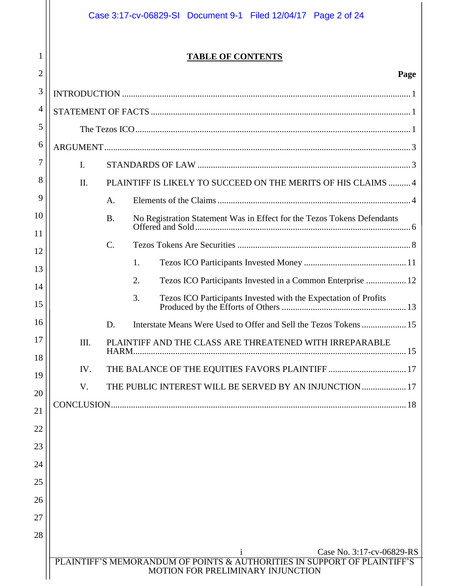|                |     | Case 3:17-cv-06829-SI Document 9-1 Filed 12/04/17 Page 2 of 24                                                                             |
|----------------|-----|--------------------------------------------------------------------------------------------------------------------------------------------|
| 1              |     | <b>TABLE OF CONTENTS</b>                                                                                                                   |
| $\overline{2}$ |     | Page                                                                                                                                       |
| 3              |     |                                                                                                                                            |
| 4              |     |                                                                                                                                            |
| 5              |     |                                                                                                                                            |
| 6              |     |                                                                                                                                            |
| 7              | I.  |                                                                                                                                            |
| 8              | Π.  | PLAINTIFF IS LIKELY TO SUCCEED ON THE MERITS OF HIS CLAIMS  4                                                                              |
| 9              |     | A.                                                                                                                                         |
| 10             |     | No Registration Statement Was in Effect for the Tezos Tokens Defendants<br><b>B.</b>                                                       |
| 11             |     | $C_{\cdot}$                                                                                                                                |
| 12             |     | 1.                                                                                                                                         |
| 13             |     | Tezos ICO Participants Invested in a Common Enterprise  12<br>2.                                                                           |
| 14             |     | 3.<br>Tezos ICO Participants Invested with the Expectation of Profits                                                                      |
| 15             |     |                                                                                                                                            |
| 16             |     | Interstate Means Were Used to Offer and Sell the Tezos Tokens 15<br>D.                                                                     |
| 17             | Ш.  | PLAINTIFF AND THE CLASS ARE THREATENED WITH IRREPARABLE<br>HARM.                                                                           |
| 18             | IV. | THE BALANCE OF THE EQUITIES FAVORS PLAINTIFF  17                                                                                           |
| 19             | V.  | THE PUBLIC INTEREST WILL BE SERVED BY AN INJUNCTION  17                                                                                    |
| 20             |     |                                                                                                                                            |
| 21             |     |                                                                                                                                            |
| 22             |     |                                                                                                                                            |
| 23             |     |                                                                                                                                            |
| 24             |     |                                                                                                                                            |
| 25             |     |                                                                                                                                            |
| 26             |     |                                                                                                                                            |
| 27             |     |                                                                                                                                            |
| 28             |     |                                                                                                                                            |
|                |     | Case No. 3:17-cv-06829-RS<br>PLAINTIFF'S MEMORANDUM OF POINTS & AUTHORITIES IN SUPPORT OF PLAINTIFF'S<br>MOTION FOR PRELIMINARY INJUNCTION |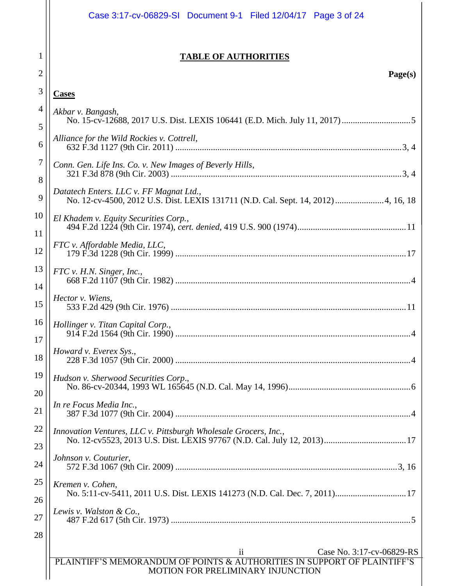|          | Case 3:17-cv-06829-SI Document 9-1 Filed 12/04/17 Page 3 of 24                                                                                                         |
|----------|------------------------------------------------------------------------------------------------------------------------------------------------------------------------|
| 1<br>2   | <b>TABLE OF AUTHORITIES</b><br>Page(s)                                                                                                                                 |
| 3        | <b>Cases</b>                                                                                                                                                           |
| 4        | Akbar v. Bangash,                                                                                                                                                      |
| 5        |                                                                                                                                                                        |
| 6        | Alliance for the Wild Rockies v. Cottrell,                                                                                                                             |
| 7<br>8   | Conn. Gen. Life Ins. Co. v. New Images of Beverly Hills,                                                                                                               |
| 9        | Datatech Enters. LLC v. FF Magnat Ltd.,<br>No. 12-cv-4500, 2012 U.S. Dist. LEXIS 131711 (N.D. Cal. Sept. 14, 2012)  4, 16, 18                                          |
| 10<br>11 | El Khadem v. Equity Securities Corp.,                                                                                                                                  |
| 12       | FTC v. Affordable Media, LLC,                                                                                                                                          |
| 13<br>14 | FTC v. H.N. Singer, Inc.,                                                                                                                                              |
| 15       | Hector v. Wiens,                                                                                                                                                       |
| 16<br>17 | Hollinger v. Titan Capital Corp.,                                                                                                                                      |
| 18       | Howard v. Everex Sys.,                                                                                                                                                 |
| 19<br>20 | Hudson v. Sherwood Securities Corp.,                                                                                                                                   |
| 21       | In re Focus Media Inc.,                                                                                                                                                |
| 22<br>23 | Innovation Ventures, LLC v. Pittsburgh Wholesale Grocers, Inc.,                                                                                                        |
| 24       | Johnson v. Couturier,                                                                                                                                                  |
| 25       | Kremen v. Cohen,<br>No. 5:11-cv-5411, 2011 U.S. Dist. LEXIS 141273 (N.D. Cal. Dec. 7, 2011) 17                                                                         |
| 26<br>27 | Lewis v. Walston & Co.,                                                                                                                                                |
| 28       |                                                                                                                                                                        |
|          | $\overline{\textbf{ii}}$<br>Case No. 3:17-cv-06829-RS<br>PLAINTIFF'S MEMORANDUM OF POINTS & AUTHORITIES IN SUPPORT OF PLAINTIFF'S<br>MOTION FOR PRELIMINARY INJUNCTION |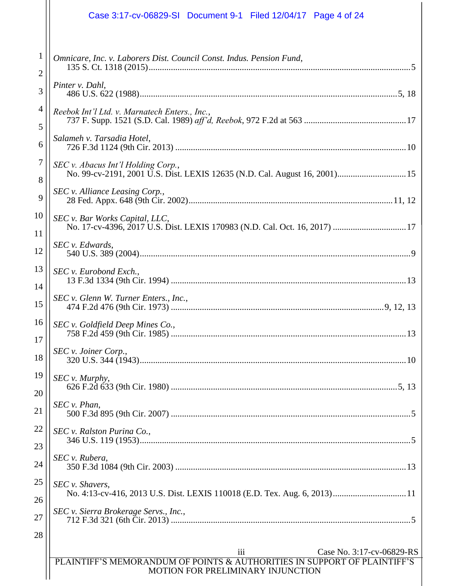|                   | Case 3:17-cv-06829-SI Document 9-1 Filed 12/04/17 Page 4 of 24                                                                                    |
|-------------------|---------------------------------------------------------------------------------------------------------------------------------------------------|
| $\mathbf{1}$<br>2 | Omnicare, Inc. v. Laborers Dist. Council Const. Indus. Pension Fund,                                                                              |
| 3                 | Pinter v. Dahl,                                                                                                                                   |
| 4<br>5            | Reebok Int'l Ltd. v. Marnatech Enters., Inc.,                                                                                                     |
| 6                 | Salameh v. Tarsadia Hotel,                                                                                                                        |
| $\tau$            | SEC v. Abacus Int'l Holding Corp.,                                                                                                                |
| 8<br>9            | SEC v. Alliance Leasing Corp.,                                                                                                                    |
| 10                | SEC v. Bar Works Capital, LLC,                                                                                                                    |
| 11<br>12          | SEC v. Edwards,                                                                                                                                   |
| 13                | SEC v. Eurobond Exch.,                                                                                                                            |
| 14<br>15          | SEC v. Glenn W. Turner Enters., Inc.,                                                                                                             |
| 16                | SEC v. Goldfield Deep Mines Co.,                                                                                                                  |
| 17<br>18          | SEC v. Joiner Corp.,                                                                                                                              |
| 19                | SEC v. Murphy,                                                                                                                                    |
| 20<br>21          | SEC v. Phan,                                                                                                                                      |
| 22                | SEC v. Ralston Purina Co.,                                                                                                                        |
| 23<br>24          | SEC v. Rubera,                                                                                                                                    |
| 25                | SEC v. Shavers,                                                                                                                                   |
| 26<br>27          | SEC v. Sierra Brokerage Servs., Inc.,                                                                                                             |
| 28                |                                                                                                                                                   |
|                   | iii<br>Case No. 3:17-cv-06829-RS<br>PLAINTIFF'S MEMORANDUM OF POINTS & AUTHORITIES IN SUPPORT OF PLAINTIFF'S<br>MOTION FOR PRELIMINARY INJUNCTION |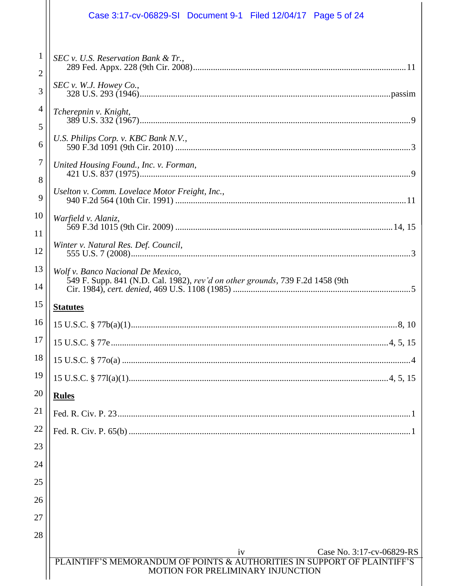|                                | Case 3:17-cv-06829-SI Document 9-1 Filed 12/04/17 Page 5 of 24                                                     |  |
|--------------------------------|--------------------------------------------------------------------------------------------------------------------|--|
| $\mathbf{1}$<br>$\overline{2}$ | $SEC$ v. U.S. Reservation Bank & Tr.,                                                                              |  |
| 3                              | SEC v. W.J. However Co.                                                                                            |  |
| 4                              | Tcherepnin v. Knight,                                                                                              |  |
| 5<br>6                         | U.S. Philips Corp. v. KBC Bank N.V.,                                                                               |  |
| 7                              | United Housing Found., Inc. v. Forman,                                                                             |  |
| 8                              | Uselton v. Comm. Lovelace Motor Freight, Inc.,                                                                     |  |
| 9                              |                                                                                                                    |  |
| 10<br>11                       | Warfield v. Alaniz,                                                                                                |  |
| 12                             | Winter v. Natural Res. Def. Council,                                                                               |  |
| 13<br>14                       | Wolf v. Banco Nacional De Mexico,<br>549 F. Supp. 841 (N.D. Cal. 1982), rev'd on other grounds, 739 F.2d 1458 (9th |  |
| 15                             | <b>Statutes</b>                                                                                                    |  |
| 16                             |                                                                                                                    |  |
| 17                             |                                                                                                                    |  |
| 18                             |                                                                                                                    |  |
| 19                             |                                                                                                                    |  |
| 20                             | <b>Rules</b>                                                                                                       |  |
| 21                             |                                                                                                                    |  |
| 22                             |                                                                                                                    |  |
| 23                             |                                                                                                                    |  |
| 24                             |                                                                                                                    |  |
| 25                             |                                                                                                                    |  |
| 26                             |                                                                                                                    |  |
| 27                             |                                                                                                                    |  |
| 28                             |                                                                                                                    |  |
|                                |                                                                                                                    |  |
|                                | iv<br>Case No. 3:17-cv-06829-RS<br>PLAINTIFF'S MEMORANDUM OF POINTS & AUTHORITIES IN SUPPORT OF PLAINTIFF'S        |  |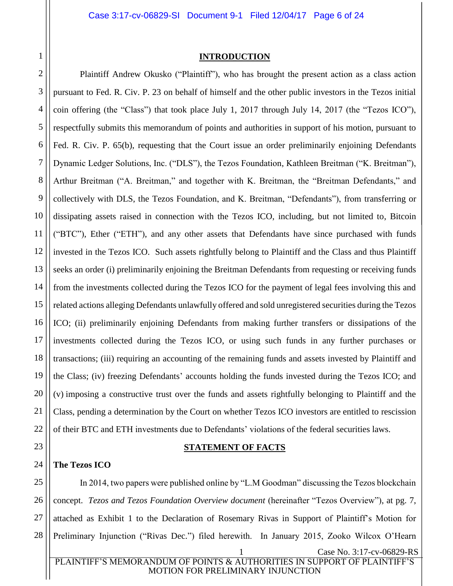<span id="page-5-0"></span>1

#### **INTRODUCTION**

2 3 4 5 6 7 8 9 10 11 12 13 14 15 16 17 18 19 20 21 22 Plaintiff Andrew Okusko ("Plaintiff"), who has brought the present action as a class action pursuant to Fed. R. Civ. P. 23 on behalf of himself and the other public investors in the Tezos initial coin offering (the "Class") that took place July 1, 2017 through July 14, 2017 (the "Tezos ICO"), respectfully submits this memorandum of points and authorities in support of his motion, pursuant to Fed. R. Civ. P. 65(b), requesting that the Court issue an order preliminarily enjoining Defendants Dynamic Ledger Solutions, Inc. ("DLS"), the Tezos Foundation, Kathleen Breitman ("K. Breitman"), Arthur Breitman ("A. Breitman," and together with K. Breitman, the "Breitman Defendants," and collectively with DLS, the Tezos Foundation, and K. Breitman, "Defendants"), from transferring or dissipating assets raised in connection with the Tezos ICO, including, but not limited to, Bitcoin ("BTC"), Ether ("ETH"), and any other assets that Defendants have since purchased with funds invested in the Tezos ICO. Such assets rightfully belong to Plaintiff and the Class and thus Plaintiff seeks an order (i) preliminarily enjoining the Breitman Defendants from requesting or receiving funds from the investments collected during the Tezos ICO for the payment of legal fees involving this and related actions alleging Defendants unlawfully offered and sold unregistered securities during the Tezos ICO; (ii) preliminarily enjoining Defendants from making further transfers or dissipations of the investments collected during the Tezos ICO, or using such funds in any further purchases or transactions; (iii) requiring an accounting of the remaining funds and assets invested by Plaintiff and the Class; (iv) freezing Defendants' accounts holding the funds invested during the Tezos ICO; and (v) imposing a constructive trust over the funds and assets rightfully belonging to Plaintiff and the Class, pending a determination by the Court on whether Tezos ICO investors are entitled to rescission of their BTC and ETH investments due to Defendants' violations of the federal securities laws.

#### **STATEMENT OF FACTS**

#### <span id="page-5-2"></span>24 **The Tezos ICO**

<span id="page-5-1"></span>23

25 26 27 28 Case No. 3:17-cv-06829-RS PLAINTIFF'S MEMORANDUM OF POINTS & AUTHORITIES IN SUPPORT OF PLAINTIFF'S In 2014, two papers were published online by "L.M Goodman" discussing the Tezos blockchain concept. *Tezos and Tezos Foundation Overview document* (hereinafter "Tezos Overview"), at pg. 7, attached as Exhibit 1 to the Declaration of Rosemary Rivas in Support of Plaintiff's Motion for Preliminary Injunction ("Rivas Dec.") filed herewith. In January 2015, Zooko Wilcox O'Hearn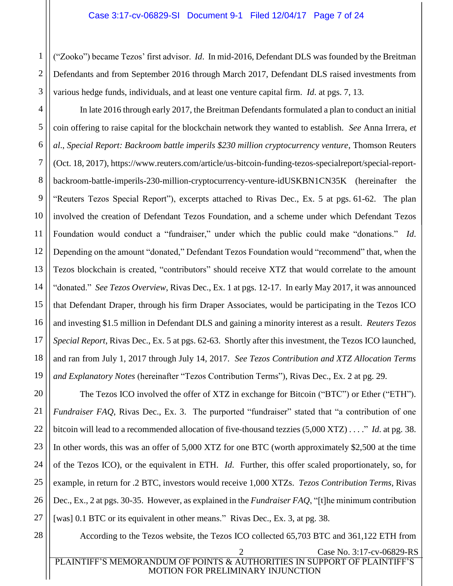2 3 ("Zooko") became Tezos' first advisor. *Id*. In mid-2016, Defendant DLS was founded by the Breitman Defendants and from September 2016 through March 2017, Defendant DLS raised investments from various hedge funds, individuals, and at least one venture capital firm. *Id*. at pgs. 7, 13.

16 In late 2016 through early 2017, the Breitman Defendants formulated a plan to conduct an initial coin offering to raise capital for the blockchain network they wanted to establish. *See* Anna Irrera, *et al*., *Special Report: Backroom battle imperils \$230 million cryptocurrency venture*, Thomson Reuters (Oct. 18, 2017), https://www.reuters.com/article/us-bitcoin-funding-tezos-specialreport/special-reportbackroom-battle-imperils-230-million-cryptocurrency-venture-idUSKBN1CN35K (hereinafter the "Reuters Tezos Special Report"), excerpts attached to Rivas Dec., Ex. 5 at pgs. 61-62. The plan involved the creation of Defendant Tezos Foundation, and a scheme under which Defendant Tezos Foundation would conduct a "fundraiser," under which the public could make "donations." *Id*. Depending on the amount "donated," Defendant Tezos Foundation would "recommend" that, when the Tezos blockchain is created, "contributors" should receive XTZ that would correlate to the amount "donated." *See Tezos Overview*, Rivas Dec., Ex. 1 at pgs. 12-17. In early May 2017, it was announced that Defendant Draper, through his firm Draper Associates, would be participating in the Tezos ICO and investing \$1.5 million in Defendant DLS and gaining a minority interest as a result. *Reuters Tezos Special Report*, Rivas Dec., Ex. 5 at pgs. 62-63. Shortly after this investment, the Tezos ICO launched, and ran from July 1, 2017 through July 14, 2017. *See Tezos Contribution and XTZ Allocation Terms and Explanatory Notes* (hereinafter "Tezos Contribution Terms"), Rivas Dec., Ex. 2 at pg. 29.

20 21 22 23 24 25 26 27 The Tezos ICO involved the offer of XTZ in exchange for Bitcoin ("BTC") or Ether ("ETH"). *Fundraiser FAQ*, Rivas Dec., Ex. 3. The purported "fundraiser" stated that "a contribution of one bitcoin will lead to a recommended allocation of five-thousand tezzies (5,000 XTZ) . . . ." *Id*. at pg. 38. In other words, this was an offer of 5,000 XTZ for one BTC (worth approximately \$2,500 at the time of the Tezos ICO), or the equivalent in ETH. *Id*. Further, this offer scaled proportionately, so, for example, in return for .2 BTC, investors would receive 1,000 XTZs. *Tezos Contribution Terms*, Rivas Dec., Ex., 2 at pgs. 30-35. However, as explained in the *Fundraiser FAQ*, "[t]he minimum contribution [was] 0.1 BTC or its equivalent in other means." Rivas Dec., Ex. 3, at pg. 38.

28

1

4

5

6

7

8

9

10

11

12

13

14

15

17

18

19

According to the Tezos website, the Tezos ICO collected 65,703 BTC and 361,122 ETH from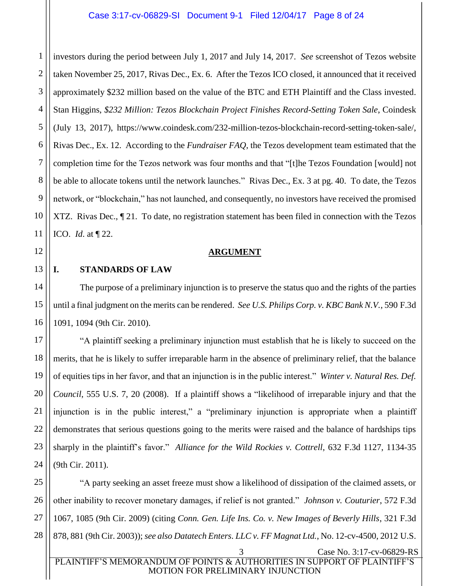1 2 investors during the period between July 1, 2017 and July 14, 2017. *See* screenshot of Tezos website taken November 25, 2017, Rivas Dec., Ex. 6. After the Tezos ICO closed, it announced that it received approximately \$232 million based on the value of the BTC and ETH Plaintiff and the Class invested. Stan Higgins, *\$232 Million: Tezos Blockchain Project Finishes Record-Setting Token Sale*, Coindesk (July 13, 2017), https://www.coindesk.com/232-million-tezos-blockchain-record-setting-token-sale/, Rivas Dec., Ex. 12. According to the *Fundraiser FAQ*, the Tezos development team estimated that the completion time for the Tezos network was four months and that "[t]he Tezos Foundation [would] not be able to allocate tokens until the network launches." Rivas Dec., Ex. 3 at pg. 40. To date, the Tezos network, or "blockchain," has not launched, and consequently, no investors have received the promised XTZ. Rivas Dec., ¶ 21. To date, no registration statement has been filed in connection with the Tezos ICO. *Id*. at ¶ 22.

#### **ARGUMENT**

#### <span id="page-7-1"></span><span id="page-7-0"></span>**I. STANDARDS OF LAW**

The purpose of a preliminary injunction is to preserve the status quo and the rights of the parties until a final judgment on the merits can be rendered. *See U.S. Philips Corp. v. KBC Bank N.V.*, 590 F.3d 1091, 1094 (9th Cir. 2010).

"A plaintiff seeking a preliminary injunction must establish that he is likely to succeed on the merits, that he is likely to suffer irreparable harm in the absence of preliminary relief, that the balance of equities tips in her favor, and that an injunction is in the public interest." *Winter v. Natural Res. Def. Council*, 555 U.S. 7, 20 (2008). If a plaintiff shows a "likelihood of irreparable injury and that the injunction is in the public interest," a "preliminary injunction is appropriate when a plaintiff demonstrates that serious questions going to the merits were raised and the balance of hardships tips sharply in the plaintiff's favor." *Alliance for the Wild Rockies v. Cottrell*, 632 F.3d 1127, 1134-35 (9th Cir. 2011).

3 Case No. 3:17-cv-06829-RS "A party seeking an asset freeze must show a likelihood of dissipation of the claimed assets, or other inability to recover monetary damages, if relief is not granted." *Johnson v. Couturier*, 572 F.3d 1067, 1085 (9th Cir. 2009) (citing *Conn. Gen. Life Ins. Co. v. New Images of Beverly Hills*, 321 F.3d 878, 881 (9th Cir. 2003)); *see also Datatech Enters. LLC v. FF Magnat Ltd.*, No. 12-cv-4500, 2012 U.S.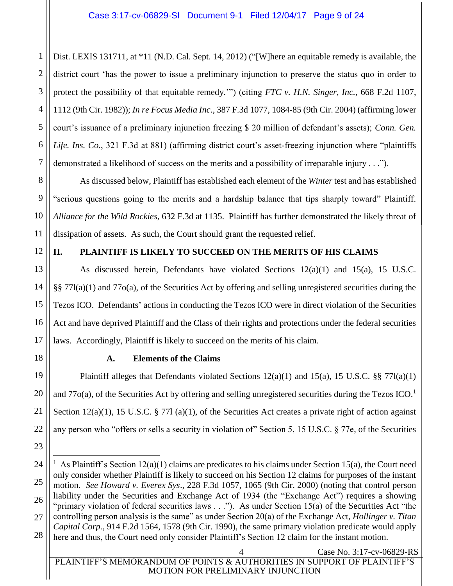1 2 3 4 5 6 7 Dist. LEXIS 131711, at \*11 (N.D. Cal. Sept. 14, 2012) ("[W] here an equitable remedy is available, the district court 'has the power to issue a preliminary injunction to preserve the status quo in order to protect the possibility of that equitable remedy.'") (citing *FTC v. H.N. Singer, Inc.*, 668 F.2d 1107, 1112 (9th Cir. 1982)); *In re Focus Media Inc.*, 387 F.3d 1077, 1084-85 (9th Cir. 2004) (affirming lower court's issuance of a preliminary injunction freezing \$ 20 million of defendant's assets); *Conn. Gen. Life. Ins. Co.*, 321 F.3d at 881) (affirming district court's asset-freezing injunction where "plaintiffs demonstrated a likelihood of success on the merits and a possibility of irreparable injury . . .").

As discussed below, Plaintiff has established each element of the *Winter* test and has established "serious questions going to the merits and a hardship balance that tips sharply toward" Plaintiff. *Alliance for the Wild Rockies*, 632 F.3d at 1135. Plaintiff has further demonstrated the likely threat of dissipation of assets. As such, the Court should grant the requested relief.

12

8

9

10

11

## <span id="page-8-0"></span>**II. PLAINTIFF IS LIKELY TO SUCCEED ON THE MERITS OF HIS CLAIMS**

13 14 15 16 17 As discussed herein, Defendants have violated Sections  $12(a)(1)$  and  $15(a)$ , 15 U.S.C. §§ 77l(a)(1) and 77o(a), of the Securities Act by offering and selling unregistered securities during the Tezos ICO. Defendants' actions in conducting the Tezos ICO were in direct violation of the Securities Act and have deprived Plaintiff and the Class of their rights and protections under the federal securities laws. Accordingly, Plaintiff is likely to succeed on the merits of his claim.

<span id="page-8-1"></span>18

19

20

21

22

23

### **A. Elements of the Claims**

Plaintiff alleges that Defendants violated Sections 12(a)(1) and 15(a), 15 U.S.C. §§ 77l(a)(1) and 77 $o(a)$ , of the Securities Act by offering and selling unregistered securities during the Tezos ICO.<sup>1</sup> Section  $12(a)(1)$ , 15 U.S.C. § 771 (a)(1), of the Securities Act creates a private right of action against any person who "offers or sells a security in violation of" Section 5, 15 U.S.C. § 77e, of the Securities

Case No. 3:17-cv-06829-RS PLAINTIFF'S MEMORANDUM OF POINTS & AUTHORITIES IN SUPPORT OF PLAINTIFF'S MOTION FOR PRELIMINARY INJUNCTION

<sup>24</sup> 25 26 27 28  $\overline{a}$ <sup>1</sup> As Plaintiff's Section  $12(a)(1)$  claims are predicates to his claims under Section 15(a), the Court need only consider whether Plaintiff is likely to succeed on his Section 12 claims for purposes of the instant motion. *See Howard v. Everex Sys*., 228 F.3d 1057, 1065 (9th Cir. 2000) (noting that control person liability under the Securities and Exchange Act of 1934 (the "Exchange Act") requires a showing "primary violation of federal securities laws . . ."). As under Section 15(a) of the Securities Act "the controlling person analysis is the same" as under Section 20(a) of the Exchange Act, *Hollinger v. Titan Capital Corp.*, 914 F.2d 1564, 1578 (9th Cir. 1990), the same primary violation predicate would apply here and thus, the Court need only consider Plaintiff's Section 12 claim for the instant motion.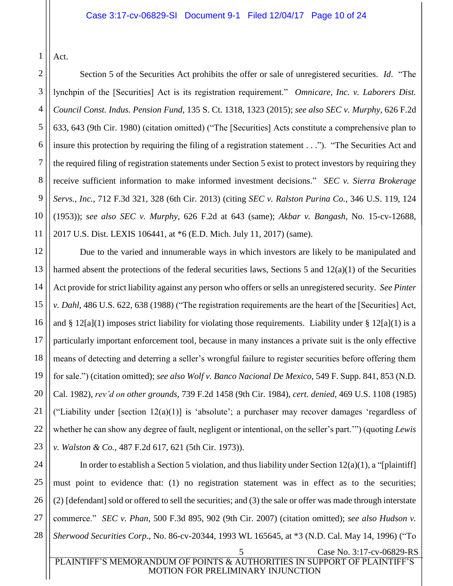1 Act.

3

5

7

11

2 4 6 8 9 10 Section 5 of the Securities Act prohibits the offer or sale of unregistered securities. *Id*. "The lynchpin of the [Securities] Act is its registration requirement." *Omnicare, Inc. v. Laborers Dist. Council Const. Indus. Pension Fund*, 135 S. Ct. 1318, 1323 (2015); *see also SEC v. Murphy*, 626 F.2d 633, 643 (9th Cir. 1980) (citation omitted) ("The [Securities] Acts constitute a comprehensive plan to insure this protection by requiring the filing of a registration statement . . ."). "The Securities Act and the required filing of registration statements under Section 5 exist to protect investors by requiring they receive sufficient information to make informed investment decisions." *SEC v. Sierra Brokerage Servs., Inc.*, 712 F.3d 321, 328 (6th Cir. 2013) (citing *SEC v. Ralston Purina Co.*, 346 U.S. 119, 124 (1953)); *see also SEC v. Murphy*, 626 F.2d at 643 (same); *Akbar v. Bangash*, No. 15-cv-12688, 2017 U.S. Dist. LEXIS 106441, at \*6 (E.D. Mich. July 11, 2017) (same).

12 13 14 15 16 17 18 19 20 21 22 23 Due to the varied and innumerable ways in which investors are likely to be manipulated and harmed absent the protections of the federal securities laws, Sections 5 and  $12(a)(1)$  of the Securities Act provide for strict liability against any person who offers or sells an unregistered security. *See Pinter v. Dahl*, 486 U.S. 622, 638 (1988) ("The registration requirements are the heart of the [Securities] Act, and § 12[a](1) imposes strict liability for violating those requirements. Liability under § 12[a](1) is a particularly important enforcement tool, because in many instances a private suit is the only effective means of detecting and deterring a seller's wrongful failure to register securities before offering them for sale.") (citation omitted); *see also Wolf v. Banco Nacional De Mexico*, 549 F. Supp. 841, 853 (N.D. Cal. 1982), *rev'd on other grounds*, 739 F.2d 1458 (9th Cir. 1984), *cert. denied*, 469 U.S. 1108 (1985) ("Liability under [section  $12(a)(1)$ ] is 'absolute'; a purchaser may recover damages 'regardless of whether he can show any degree of fault, negligent or intentional, on the seller's part.'") (quoting *Lewis v. Walston & Co.*, 487 F.2d 617, 621 (5th Cir. 1973)).

24 25 26 27 28 5 Case No. 3:17-cv-06829-RS PLAINTIFF'S MEMORANDUM OF POINTS & AUTHORITIES IN SUPPORT OF PLAINTIFF'S In order to establish a Section 5 violation, and thus liability under Section  $12(a)(1)$ , a "[plaintiff] must point to evidence that: (1) no registration statement was in effect as to the securities; (2) [defendant] sold or offered to sell the securities; and (3) the sale or offer was made through interstate commerce." *SEC v. Phan*, 500 F.3d 895, 902 (9th Cir. 2007) (citation omitted); *see also Hudson v. Sherwood Securities Corp*., No. 86-cv-20344, 1993 WL 165645, at \*3 (N.D. Cal. May 14, 1996) ("To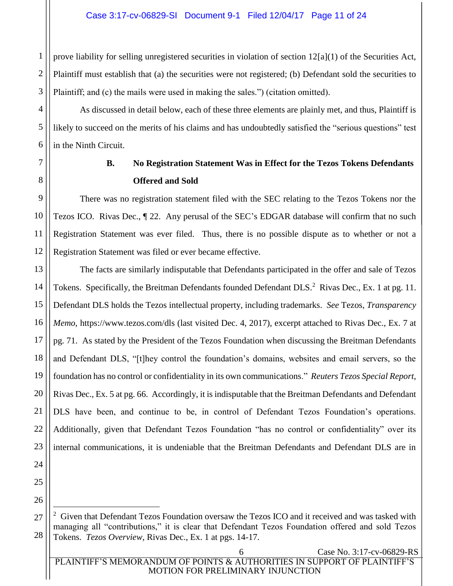1 2 3 prove liability for selling unregistered securities in violation of section 12[a](1) of the Securities Act, Plaintiff must establish that (a) the securities were not registered; (b) Defendant sold the securities to Plaintiff; and (c) the mails were used in making the sales.") (citation omitted).

As discussed in detail below, each of these three elements are plainly met, and thus, Plaintiff is likely to succeed on the merits of his claims and has undoubtedly satisfied the "serious questions" test in the Ninth Circuit.

4

5

6

<span id="page-10-0"></span>7

8

# **B. No Registration Statement Was in Effect for the Tezos Tokens Defendants Offered and Sold**

9 10 11 12 There was no registration statement filed with the SEC relating to the Tezos Tokens nor the Tezos ICO. Rivas Dec., ¶ 22. Any perusal of the SEC's EDGAR database will confirm that no such Registration Statement was ever filed. Thus, there is no possible dispute as to whether or not a Registration Statement was filed or ever became effective.

13 14 15 16 17 18 19 20 21 22 23 The facts are similarly indisputable that Defendants participated in the offer and sale of Tezos Tokens. Specifically, the Breitman Defendants founded Defendant DLS.<sup>2</sup> Rivas Dec., Ex. 1 at pg. 11. Defendant DLS holds the Tezos intellectual property, including trademarks. *See* Tezos, *Transparency Memo*, https://www.tezos.com/dls (last visited Dec. 4, 2017), excerpt attached to Rivas Dec., Ex. 7 at pg. 71. As stated by the President of the Tezos Foundation when discussing the Breitman Defendants and Defendant DLS, "[t]hey control the foundation's domains, websites and email servers, so the foundation has no control or confidentiality in its own communications." *Reuters Tezos Special Report*, Rivas Dec., Ex. 5 at pg. 66. Accordingly, it is indisputable that the Breitman Defendants and Defendant DLS have been, and continue to be, in control of Defendant Tezos Foundation's operations. Additionally, given that Defendant Tezos Foundation "has no control or confidentiality" over its internal communications, it is undeniable that the Breitman Defendants and Defendant DLS are in

24 25 26

27

 $\overline{a}$ 

 $2$  Given that Defendant Tezos Foundation oversaw the Tezos ICO and it received and was tasked with managing all "contributions," it is clear that Defendant Tezos Foundation offered and sold Tezos Tokens. *Tezos Overview*, Rivas Dec., Ex. 1 at pgs. 14-17.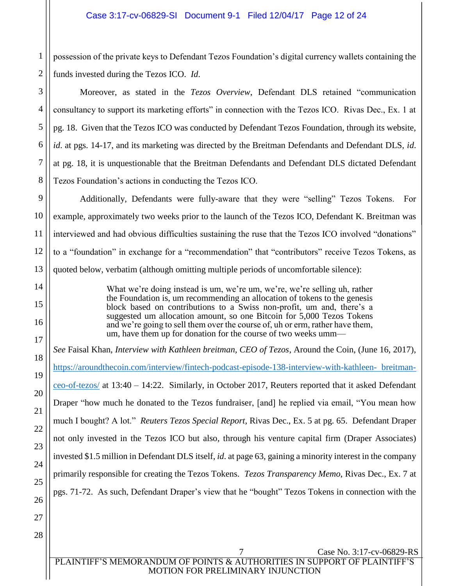1 2 possession of the private keys to Defendant Tezos Foundation's digital currency wallets containing the funds invested during the Tezos ICO. *Id*.

Moreover, as stated in the *Tezos Overview*, Defendant DLS retained "communication consultancy to support its marketing efforts" in connection with the Tezos ICO. Rivas Dec., Ex. 1 at pg. 18. Given that the Tezos ICO was conducted by Defendant Tezos Foundation, through its website, *id*. at pgs. 14-17, and its marketing was directed by the Breitman Defendants and Defendant DLS, *id*. at pg. 18, it is unquestionable that the Breitman Defendants and Defendant DLS dictated Defendant Tezos Foundation's actions in conducting the Tezos ICO.

Additionally, Defendants were fully-aware that they were "selling" Tezos Tokens. For example, approximately two weeks prior to the launch of the Tezos ICO, Defendant K. Breitman was interviewed and had obvious difficulties sustaining the ruse that the Tezos ICO involved "donations" to a "foundation" in exchange for a "recommendation" that "contributors" receive Tezos Tokens, as quoted below, verbatim (although omitting multiple periods of uncomfortable silence):

> What we're doing instead is um, we're um, we're, we're selling uh, rather the Foundation is, um recommending an allocation of tokens to the genesis block based on contributions to a Swiss non-profit, um and, there's a suggested um allocation amount, so one Bitcoin for 5,000 Tezos Tokens and we're going to sell them over the course of, uh or erm, rather have them, um, have them up for donation for the course of two weeks umm—

*See* Faisal Khan, *Interview with Kathleen breitman, CEO of Tezos*, Around the Coin, (June 16, 2017), [https://aroundthecoin.com/interview/fintech-podcast-episode-138-interview-with-kathleen- breitman](https://aroundthecoin.com/interview/fintech-podcast-episode-138-interview-with-kathleen-%20%20breit???man-ceo-of-tezos/)[ceo-of-tezos/](https://aroundthecoin.com/interview/fintech-podcast-episode-138-interview-with-kathleen-%20%20breit???man-ceo-of-tezos/) at 13:40 – 14:22. Similarly, in October 2017, Reuters reported that it asked Defendant Draper "how much he donated to the Tezos fundraiser, [and] he replied via email, "You mean how much I bought? A lot." *Reuters Tezos Special Report*, Rivas Dec., Ex. 5 at pg. 65. Defendant Draper not only invested in the Tezos ICO but also, through his venture capital firm (Draper Associates) invested \$1.5 million in Defendant DLS itself, *id*. at page 63, gaining a minority interest in the company primarily responsible for creating the Tezos Tokens. *Tezos Transparency Memo*, Rivas Dec., Ex. 7 at pgs. 71-72. As such, Defendant Draper's view that he "bought" Tezos Tokens in connection with the

3

4

5

6

7 Case No. 3:17-cv-06829-RS PLAINTIFF'S MEMORANDUM OF POINTS & AUTHORITIES IN SUPPORT OF PLAINTIFF'S MOTION FOR PRELIMINARY INJUNCTION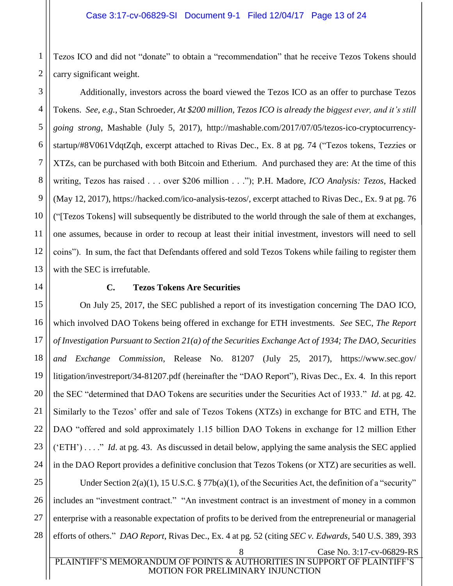1 2 Tezos ICO and did not "donate" to obtain a "recommendation" that he receive Tezos Tokens should carry significant weight.

Additionally, investors across the board viewed the Tezos ICO as an offer to purchase Tezos Tokens. *See, e.g.*, Stan Schroeder, *At \$200 million, Tezos ICO is already the biggest ever, and it's still going strong*, Mashable (July 5, 2017), http://mashable.com/2017/07/05/tezos-ico-cryptocurrencystartup/#8V061VdqtZqh, excerpt attached to Rivas Dec., Ex. 8 at pg. 74 ("Tezos tokens, Tezzies or XTZs, can be purchased with both Bitcoin and Etherium. And purchased they are: At the time of this writing, Tezos has raised . . . over \$206 million . . ."); P.H. Madore, *ICO Analysis: Tezos*, Hacked (May 12, 2017), https://hacked.com/ico-analysis-tezos/, excerpt attached to Rivas Dec., Ex. 9 at pg. 76 ("[Tezos Tokens] will subsequently be distributed to the world through the sale of them at exchanges, one assumes, because in order to recoup at least their initial investment, investors will need to sell coins"). In sum, the fact that Defendants offered and sold Tezos Tokens while failing to register them with the SEC is irrefutable.

#### **C. Tezos Tokens Are Securities**

<span id="page-12-0"></span>On July 25, 2017, the SEC published a report of its investigation concerning The DAO ICO, which involved DAO Tokens being offered in exchange for ETH investments. *See* SEC, *The Report of Investigation Pursuant to Section 21(a) of the Securities Exchange Act of 1934; The DAO, Securities and Exchange Commission*, Release No. 81207 (July 25, 2017), https://www.sec.gov/ litigation/investreport/34-81207.pdf (hereinafter the "DAO Report"), Rivas Dec., Ex. 4. In this report the SEC "determined that DAO Tokens are securities under the Securities Act of 1933." *Id*. at pg. 42. Similarly to the Tezos' offer and sale of Tezos Tokens (XTZs) in exchange for BTC and ETH, The DAO "offered and sold approximately 1.15 billion DAO Tokens in exchange for 12 million Ether ('ETH') . . . ." *Id*. at pg. 43. As discussed in detail below, applying the same analysis the SEC applied in the DAO Report provides a definitive conclusion that Tezos Tokens (or XTZ) are securities as well. Under Section  $2(a)(1)$ , 15 U.S.C. § 77b $(a)(1)$ , of the Securities Act, the definition of a "security" includes an "investment contract." "An investment contract is an investment of money in a common enterprise with a reasonable expectation of profits to be derived from the entrepreneurial or managerial efforts of others." *DAO Report*, Rivas Dec., Ex. 4 at pg. 52 (citing *SEC v. Edwards*, 540 U.S. 389, 393

3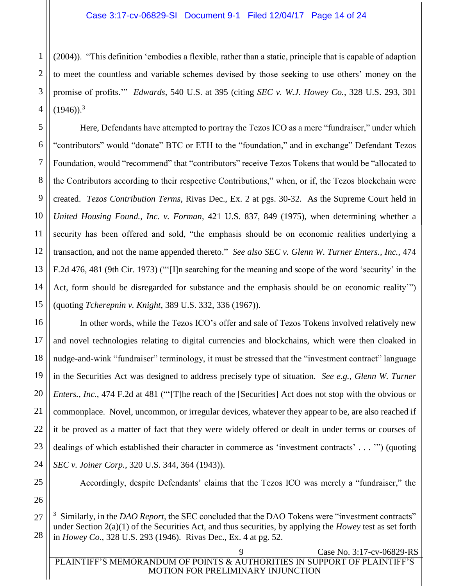2 3 4 (2004)). "This definition 'embodies a flexible, rather than a static, principle that is capable of adaption to meet the countless and variable schemes devised by those seeking to use others' money on the promise of profits.'" *Edwards*, 540 U.S. at 395 (citing *SEC v. W.J. Howey Co.*, 328 U.S. 293, 301  $(1946)$ .<sup>3</sup>

5 6 7 8 9 10 11 12 13 14 15 Here, Defendants have attempted to portray the Tezos ICO as a mere "fundraiser," under which "contributors" would "donate" BTC or ETH to the "foundation," and in exchange" Defendant Tezos Foundation, would "recommend" that "contributors" receive Tezos Tokens that would be "allocated to the Contributors according to their respective Contributions," when, or if, the Tezos blockchain were created. *Tezos Contribution Terms*, Rivas Dec., Ex. 2 at pgs. 30-32. As the Supreme Court held in *United Housing Found., Inc. v. Forman*, 421 U.S. 837, 849 (1975), when determining whether a security has been offered and sold, "the emphasis should be on economic realities underlying a transaction, and not the name appended thereto." *See also SEC v. Glenn W. Turner Enters., Inc.*, 474 F.2d 476, 481 (9th Cir. 1973) ("'[I]n searching for the meaning and scope of the word 'security' in the Act, form should be disregarded for substance and the emphasis should be on economic reality'") (quoting *Tcherepnin v. Knight*, 389 U.S. 332, 336 (1967)).

16 17 18 19 20 21 22 23 24 In other words, while the Tezos ICO's offer and sale of Tezos Tokens involved relatively new and novel technologies relating to digital currencies and blockchains, which were then cloaked in nudge-and-wink "fundraiser" terminology, it must be stressed that the "investment contract" language in the Securities Act was designed to address precisely type of situation. *See e.g.*, *Glenn W. Turner Enters., Inc.*, 474 F.2d at 481 ("'[T]he reach of the [Securities] Act does not stop with the obvious or commonplace. Novel, uncommon, or irregular devices, whatever they appear to be, are also reached if it be proved as a matter of fact that they were widely offered or dealt in under terms or courses of dealings of which established their character in commerce as 'investment contracts' . . . '") (quoting *SEC v. Joiner Corp.*, 320 U.S. 344, 364 (1943)).

Accordingly, despite Defendants' claims that the Tezos ICO was merely a "fundraiser," the

25 26

27

 $\overline{a}$ 

28

<sup>3</sup> Similarly, in the *DAO Report*, the SEC concluded that the DAO Tokens were "investment contracts" under Section 2(a)(1) of the Securities Act, and thus securities, by applying the *Howey* test as set forth in *Howey Co.*, 328 U.S. 293 (1946). Rivas Dec., Ex. 4 at pg. 52.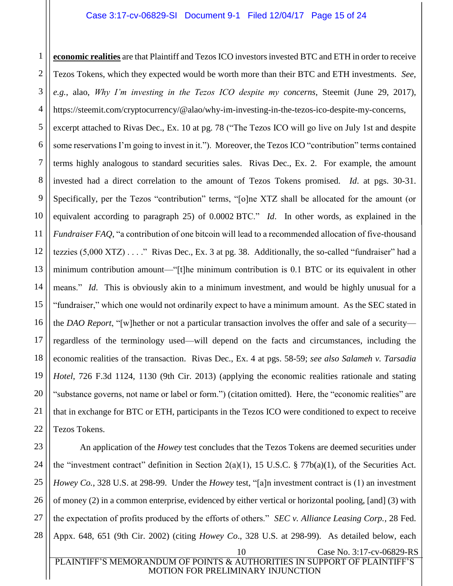1

2

3

4

**economic realities** are that Plaintiff and Tezos ICO investors invested BTC and ETH in order to receive Tezos Tokens, which they expected would be worth more than their BTC and ETH investments. *See, e.g.*, alao, *Why I'm investing in the Tezos ICO despite my concerns*, Steemit (June 29, 2017), https://steemit.com/cryptocurrency/@alao/why-im-investing-in-the-tezos-ico-despite-my-concerns,

5 6 7 8 9 10 11 12 13 14 15 16 17 18 19 20 21 22 excerpt attached to Rivas Dec., Ex. 10 at pg. 78 ("The Tezos ICO will go live on July 1st and despite some reservations I'm going to invest in it."). Moreover, the Tezos ICO "contribution" terms contained terms highly analogous to standard securities sales. Rivas Dec., Ex. 2. For example, the amount invested had a direct correlation to the amount of Tezos Tokens promised. *Id*. at pgs. 30-31. Specifically, per the Tezos "contribution" terms, "[o]ne XTZ shall be allocated for the amount (or equivalent according to paragraph 25) of 0.0002 BTC." *Id*. In other words, as explained in the *Fundraiser FAQ*, "a contribution of one bitcoin will lead to a recommended allocation of five-thousand tezzies (5,000 XTZ) . . . ." Rivas Dec., Ex. 3 at pg. 38. Additionally, the so-called "fundraiser" had a minimum contribution amount—"[t]he minimum contribution is 0.1 BTC or its equivalent in other means." *Id*. This is obviously akin to a minimum investment, and would be highly unusual for a "fundraiser," which one would not ordinarily expect to have a minimum amount. As the SEC stated in the *DAO Report*, "[w]hether or not a particular transaction involves the offer and sale of a security regardless of the terminology used—will depend on the facts and circumstances, including the economic realities of the transaction. Rivas Dec., Ex. 4 at pgs. 58-59; *see also Salameh v. Tarsadia Hotel*, 726 F.3d 1124, 1130 (9th Cir. 2013) (applying the economic realities rationale and stating "substance governs, not name or label or form.") (citation omitted). Here, the "economic realities" are that in exchange for BTC or ETH, participants in the Tezos ICO were conditioned to expect to receive Tezos Tokens.

23 24 25 26 27 28 An application of the *Howey* test concludes that the Tezos Tokens are deemed securities under the "investment contract" definition in Section  $2(a)(1)$ , 15 U.S.C. § 77b(a)(1), of the Securities Act. *Howey Co.*, 328 U.S. at 298-99. Under the *Howey* test, "[a]n investment contract is (1) an investment of money (2) in a common enterprise, evidenced by either vertical or horizontal pooling, [and] (3) with the expectation of profits produced by the efforts of others." *SEC v. Alliance Leasing Corp.*, 28 Fed. Appx. 648, 651 (9th Cir. 2002) (citing *Howey Co*., 328 U.S. at 298-99). As detailed below, each

<sup>10</sup> Case No. 3:17-cv-06829-RS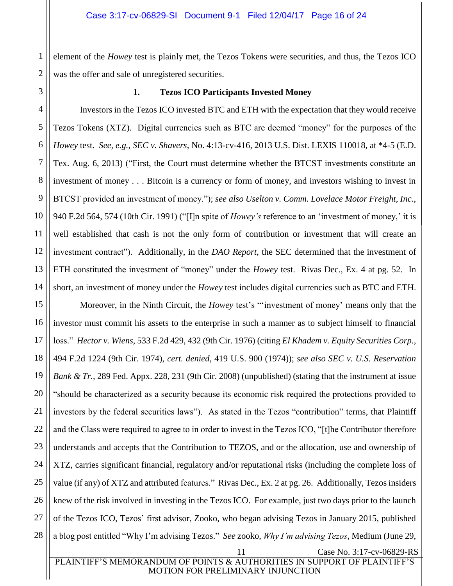1 2 element of the *Howey* test is plainly met, the Tezos Tokens were securities, and thus, the Tezos ICO was the offer and sale of unregistered securities.

<span id="page-15-0"></span>3

#### **1. Tezos ICO Participants Invested Money**

4 5 6 7 8 9 10 11 12 13 14 Investors in the Tezos ICO invested BTC and ETH with the expectation that they would receive Tezos Tokens (XTZ). Digital currencies such as BTC are deemed "money" for the purposes of the *Howey* test. *See, e.g.*, *SEC v. Shavers*, No. 4:13-cv-416, 2013 U.S. Dist. LEXIS 110018, at \*4-5 (E.D. Tex. Aug. 6, 2013) ("First, the Court must determine whether the BTCST investments constitute an investment of money . . . Bitcoin is a currency or form of money, and investors wishing to invest in BTCST provided an investment of money."); *see also Uselton v. Comm. Lovelace Motor Freight, Inc.*, 940 F.2d 564, 574 (10th Cir. 1991) ("[I]n spite of *Howey's* reference to an 'investment of money,' it is well established that cash is not the only form of contribution or investment that will create an investment contract"). Additionally, in the *DAO Report*, the SEC determined that the investment of ETH constituted the investment of "money" under the *Howey* test. Rivas Dec., Ex. 4 at pg. 52. In short, an investment of money under the *Howey* test includes digital currencies such as BTC and ETH.

15 16 17 18 19 20 21 22 23 24 25 26 27 28 Moreover, in the Ninth Circuit, the *Howey* test's "'investment of money' means only that the investor must commit his assets to the enterprise in such a manner as to subject himself to financial loss." *Hector v. Wiens*, 533 F.2d 429, 432 (9th Cir. 1976) (citing *El Khadem v. Equity Securities Corp.*, 494 F.2d 1224 (9th Cir. 1974), *cert. denied*, 419 U.S. 900 (1974)); *see also SEC v. U.S. Reservation Bank & Tr.*, 289 Fed. Appx. 228, 231 (9th Cir. 2008) (unpublished) (stating that the instrument at issue "should be characterized as a security because its economic risk required the protections provided to investors by the federal securities laws"). As stated in the Tezos "contribution" terms, that Plaintiff and the Class were required to agree to in order to invest in the Tezos ICO, "[t]he Contributor therefore understands and accepts that the Contribution to TEZOS, and or the allocation, use and ownership of XTZ, carries significant financial, regulatory and/or reputational risks (including the complete loss of value (if any) of XTZ and attributed features." Rivas Dec., Ex. 2 at pg. 26. Additionally, Tezos insiders knew of the risk involved in investing in the Tezos ICO. For example, just two days prior to the launch of the Tezos ICO, Tezos' first advisor, Zooko, who began advising Tezos in January 2015, published a blog post entitled "Why I'm advising Tezos." *See* zooko, *Why I'm advising Tezos*, Medium (June 29,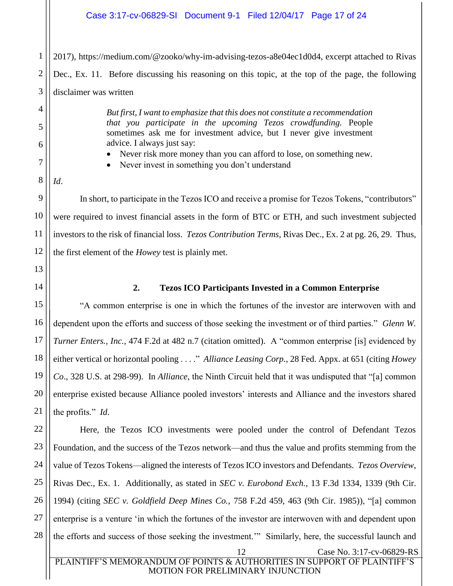### Case 3:17-cv-06829-SI Document 9-1 Filed 12/04/17 Page 17 of 24

2 3 2017), https://medium.com/@zooko/why-im-advising-tezos-a8e04ec1d0d4, excerpt attached to Rivas Dec., Ex. 11. Before discussing his reasoning on this topic, at the top of the page, the following disclaimer was written

> *But first, I want to emphasize that this does not constitute a recommendation that you participate in the upcoming Tezos crowdfunding.* People sometimes ask me for investment advice, but I never give investment advice. I always just say:

- Never risk more money than you can afford to lose, on something new.
- Never invest in something you don't understand
- *Id*.

1

4

5

6

7

8

9

10

11

12

In short, to participate in the Tezos ICO and receive a promise for Tezos Tokens, "contributors" were required to invest financial assets in the form of BTC or ETH, and such investment subjected investors to the risk of financial loss. *Tezos Contribution Terms*, Rivas Dec., Ex. 2 at pg. 26, 29. Thus, the first element of the *Howey* test is plainly met.

<span id="page-16-0"></span>13 14

21

#### **2. Tezos ICO Participants Invested in a Common Enterprise**

15 16 17 18 19 20 "A common enterprise is one in which the fortunes of the investor are interwoven with and dependent upon the efforts and success of those seeking the investment or of third parties." *Glenn W. Turner Enters., Inc.*, 474 F.2d at 482 n.7 (citation omitted). A "common enterprise [is] evidenced by either vertical or horizontal pooling . . . ." *Alliance Leasing Corp.*, 28 Fed. Appx. at 651 (citing *Howey Co*., 328 U.S. at 298-99). In *Alliance*, the Ninth Circuit held that it was undisputed that "[a] common enterprise existed because Alliance pooled investors' interests and Alliance and the investors shared the profits." *Id*.

22 23 24 25 26 27 28 12 Case No. 3:17-cv-06829-RS Here, the Tezos ICO investments were pooled under the control of Defendant Tezos Foundation, and the success of the Tezos network—and thus the value and profits stemming from the value of Tezos Tokens—aligned the interests of Tezos ICO investors and Defendants. *Tezos Overview*, Rivas Dec., Ex. 1. Additionally, as stated in *SEC v. Eurobond Exch.*, 13 F.3d 1334, 1339 (9th Cir. 1994) (citing *SEC v. Goldfield Deep Mines Co.*, 758 F.2d 459, 463 (9th Cir. 1985)), "[a] common enterprise is a venture 'in which the fortunes of the investor are interwoven with and dependent upon the efforts and success of those seeking the investment.'" Similarly, here, the successful launch and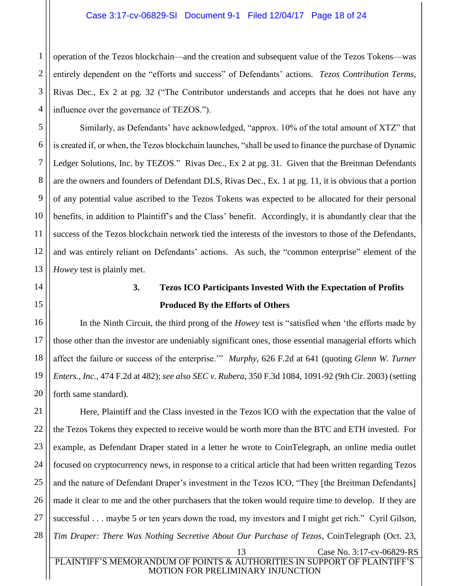#### Case 3:17-cv-06829-SI Document 9-1 Filed 12/04/17 Page 18 of 24

1 2 3 4 operation of the Tezos blockchain—and the creation and subsequent value of the Tezos Tokens—was entirely dependent on the "efforts and success" of Defendants' actions. *Tezos Contribution Terms*, Rivas Dec., Ex 2 at pg. 32 ("The Contributor understands and accepts that he does not have any influence over the governance of TEZOS.").

Similarly, as Defendants' have acknowledged, "approx. 10% of the total amount of XTZ" that is created if, or when, the Tezos blockchain launches, "shall be used to finance the purchase of Dynamic Ledger Solutions, Inc. by TEZOS." Rivas Dec., Ex 2 at pg. 31. Given that the Breitman Defendants are the owners and founders of Defendant DLS, Rivas Dec., Ex. 1 at pg. 11, it is obvious that a portion of any potential value ascribed to the Tezos Tokens was expected to be allocated for their personal benefits, in addition to Plaintiff's and the Class' benefit. Accordingly, it is abundantly clear that the success of the Tezos blockchain network tied the interests of the investors to those of the Defendants, and was entirely reliant on Defendants' actions. As such, the "common enterprise" element of the *Howey* test is plainly met.

<span id="page-17-0"></span>

5

6

7

8

9

10

11

12

13

14

15

16

17

18

19

20

# **3. Tezos ICO Participants Invested With the Expectation of Profits Produced By the Efforts of Others**

In the Ninth Circuit, the third prong of the *Howey* test is "satisfied when 'the efforts made by those other than the investor are undeniably significant ones, those essential managerial efforts which affect the failure or success of the enterprise.'" *Murphy*, 626 F.2d at 641 (quoting *Glenn W. Turner Enters., Inc.*, 474 F.2d at 482); *see also SEC v. Rubera*, 350 F.3d 1084, 1091-92 (9th Cir. 2003) (setting forth same standard).

21 22 23 24 25 26 27 28 Here, Plaintiff and the Class invested in the Tezos ICO with the expectation that the value of the Tezos Tokens they expected to receive would be worth more than the BTC and ETH invested. For example, as Defendant Draper stated in a letter he wrote to CoinTelegraph, an online media outlet focused on cryptocurrency news, in response to a critical article that had been written regarding Tezos and the nature of Defendant Draper's investment in the Tezos ICO, "They [the Breitman Defendants] made it clear to me and the other purchasers that the token would require time to develop. If they are successful . . . maybe 5 or ten years down the road, my investors and I might get rich." Cyril Gilson, *Tim Draper: There Was Nothing Secretive About Our Purchase of Tezos*, CoinTelegraph (Oct. 23,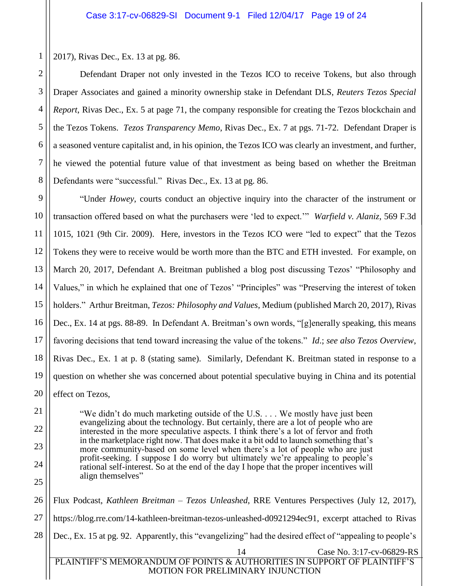2017), Rivas Dec., Ex. 13 at pg. 86.

Defendant Draper not only invested in the Tezos ICO to receive Tokens, but also through Draper Associates and gained a minority ownership stake in Defendant DLS, *Reuters Tezos Special Report*, Rivas Dec., Ex. 5 at page 71, the company responsible for creating the Tezos blockchain and the Tezos Tokens. *Tezos Transparency Memo*, Rivas Dec., Ex. 7 at pgs. 71-72. Defendant Draper is a seasoned venture capitalist and, in his opinion, the Tezos ICO was clearly an investment, and further, he viewed the potential future value of that investment as being based on whether the Breitman Defendants were "successful." Rivas Dec., Ex. 13 at pg. 86.

9 10 11 12 13 14 15 16 17 18 19 20 "Under *Howey*, courts conduct an objective inquiry into the character of the instrument or transaction offered based on what the purchasers were 'led to expect.'" *Warfield v. Alaniz*, 569 F.3d 1015, 1021 (9th Cir. 2009). Here, investors in the Tezos ICO were "led to expect" that the Tezos Tokens they were to receive would be worth more than the BTC and ETH invested. For example, on March 20, 2017, Defendant A. Breitman published a blog post discussing Tezos' "Philosophy and Values," in which he explained that one of Tezos' "Principles" was "Preserving the interest of token holders." Arthur Breitman, *Tezos: Philosophy and Values*, Medium (published March 20, 2017), Rivas Dec., Ex. 14 at pgs. 88-89. In Defendant A. Breitman's own words, "[g]enerally speaking, this means favoring decisions that tend toward increasing the value of the tokens." *Id*.; *see also Tezos Overview*, Rivas Dec., Ex. 1 at p. 8 (stating same). Similarly, Defendant K. Breitman stated in response to a question on whether she was concerned about potential speculative buying in China and its potential effect on Tezos,

"We didn't do much marketing outside of the U.S. . . . We mostly have just been evangelizing about the technology. But certainly, there are a lot of people who are interested in the more speculative aspects. I think there's a lot of fervor and froth in the marketplace right now. That does make it a bit odd to launch something that's more community-based on some level when there's a lot of people who are just profit-seeking. I suppose I do worry but ultimately we're appealing to people's rational self-interest. So at the end of the day I hope that the proper incentives will align themselves"

26 27 28 14 Case No. 3:17-cv-06829-RS PLAINTIFF'S MEMORANDUM OF POINTS & AUTHORITIES IN SUPPORT OF PLAINTIFF'S Flux Podcast, *Kathleen Breitman – Tezos Unleashed*, RRE Ventures Perspectives (July 12, 2017), https://blog.rre.com/14-kathleen-breitman-tezos-unleashed-d0921294ec91, excerpt attached to Rivas Dec., Ex. 15 at pg. 92. Apparently, this "evangelizing" had the desired effect of "appealing to people's

MOTION FOR PRELIMINARY INJUNCTION

21

22

23

24

25

1

2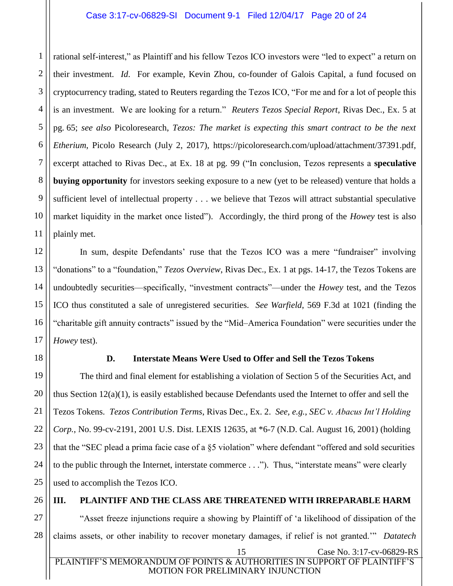2 3 4 5 6 7 8 9 10 11 rational self-interest," as Plaintiff and his fellow Tezos ICO investors were "led to expect" a return on their investment. *Id*. For example, Kevin Zhou, co-founder of Galois Capital, a fund focused on cryptocurrency trading, stated to Reuters regarding the Tezos ICO, "For me and for a lot of people this is an investment. We are looking for a return." *Reuters Tezos Special Report*, Rivas Dec., Ex. 5 at pg. 65; *see also* Picoloresearch, *Tezos: The market is expecting this smart contract to be the next Etherium*, Picolo Research (July 2, 2017), https://picoloresearch.com/upload/attachment/37391.pdf, excerpt attached to Rivas Dec., at Ex. 18 at pg. 99 ("In conclusion, Tezos represents a **speculative buying opportunity** for investors seeking exposure to a new (yet to be released) venture that holds a sufficient level of intellectual property . . . we believe that Tezos will attract substantial speculative market liquidity in the market once listed"). Accordingly, the third prong of the *Howey* test is also plainly met.

12 15 16 In sum, despite Defendants' ruse that the Tezos ICO was a mere "fundraiser" involving "donations" to a "foundation," *Tezos Overview*, Rivas Dec., Ex. 1 at pgs. 14-17, the Tezos Tokens are undoubtedly securities—specifically, "investment contracts"—under the *Howey* test, and the Tezos ICO thus constituted a sale of unregistered securities. *See Warfield*, 569 F.3d at 1021 (finding the "charitable gift annuity contracts" issued by the "Mid–America Foundation" were securities under the *Howey* test).

<span id="page-19-0"></span>

1

13

14

17

18

21

### **D. Interstate Means Were Used to Offer and Sell the Tezos Tokens**

19 20 22 23 24 25 The third and final element for establishing a violation of Section 5 of the Securities Act, and thus Section  $12(a)(1)$ , is easily established because Defendants used the Internet to offer and sell the Tezos Tokens. *Tezos Contribution Terms*, Rivas Dec., Ex. 2. *See, e.g.*, *SEC v. Abacus Int'l Holding Corp.*, No. 99-cv-2191, 2001 U.S. Dist. LEXIS 12635, at \*6-7 (N.D. Cal. August 16, 2001) (holding that the "SEC plead a prima facie case of a §5 violation" where defendant "offered and sold securities to the public through the Internet, interstate commerce . . ."). Thus, "interstate means" were clearly used to accomplish the Tezos ICO.

26

#### <span id="page-19-1"></span>**III. PLAINTIFF AND THE CLASS ARE THREATENED WITH IRREPARABLE HARM**

27 28 15 Case No. 3:17-cv-06829-RS "Asset freeze injunctions require a showing by Plaintiff of 'a likelihood of dissipation of the claims assets, or other inability to recover monetary damages, if relief is not granted.'" *Datatech*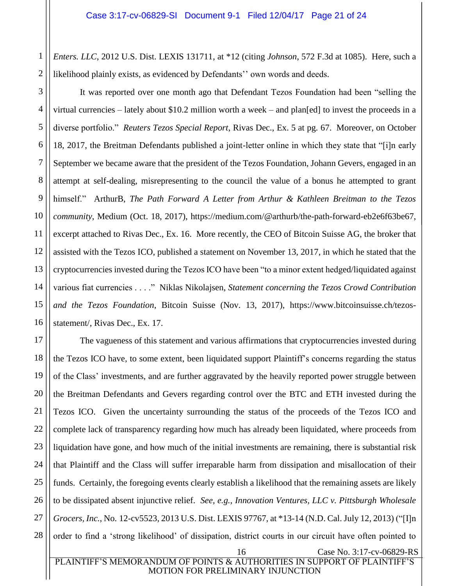1 2 *Enters. LLC*, 2012 U.S. Dist. LEXIS 131711, at \*12 (citing *Johnson*, 572 F.3d at 1085). Here, such a likelihood plainly exists, as evidenced by Defendants'' own words and deeds.

3 4 5 6 7 8 9 10 11 12 13 14 15 16 It was reported over one month ago that Defendant Tezos Foundation had been "selling the virtual currencies – lately about \$10.2 million worth a week – and plan[ed] to invest the proceeds in a diverse portfolio." *Reuters Tezos Special Report*, Rivas Dec., Ex. 5 at pg. 67. Moreover, on October 18, 2017, the Breitman Defendants published a joint-letter online in which they state that "[i]n early September we became aware that the president of the Tezos Foundation, Johann Gevers, engaged in an attempt at self-dealing, misrepresenting to the council the value of a bonus he attempted to grant himself." ArthurB, *The Path Forward A Letter from Arthur & Kathleen Breitman to the Tezos community*, Medium (Oct. 18, 2017), https://medium.com/@arthurb/the-path-forward-eb2e6f63be67, excerpt attached to Rivas Dec., Ex. 16. More recently, the CEO of Bitcoin Suisse AG, the broker that assisted with the Tezos ICO, published a statement on November 13, 2017, in which he stated that the cryptocurrencies invested during the Tezos ICO have been "to a minor extent hedged/liquidated against various fiat currencies . . . ." Niklas Nikolajsen, *Statement concerning the Tezos Crowd Contribution and the Tezos Foundation*, Bitcoin Suisse (Nov. 13, 2017), https://www.bitcoinsuisse.ch/tezosstatement/, Rivas Dec., Ex. 17.

17 18 19 20 21 22 23 24 25 26 27 28 16 Case No. 3:17-cv-06829-RS The vagueness of this statement and various affirmations that cryptocurrencies invested during the Tezos ICO have, to some extent, been liquidated support Plaintiff's concerns regarding the status of the Class' investments, and are further aggravated by the heavily reported power struggle between the Breitman Defendants and Gevers regarding control over the BTC and ETH invested during the Tezos ICO. Given the uncertainty surrounding the status of the proceeds of the Tezos ICO and complete lack of transparency regarding how much has already been liquidated, where proceeds from liquidation have gone, and how much of the initial investments are remaining, there is substantial risk that Plaintiff and the Class will suffer irreparable harm from dissipation and misallocation of their funds. Certainly, the foregoing events clearly establish a likelihood that the remaining assets are likely to be dissipated absent injunctive relief. *See, e.g.*, *Innovation Ventures, LLC v. Pittsburgh Wholesale Grocers, Inc.*, No. 12-cv5523, 2013 U.S. Dist. LEXIS 97767, at \*13-14 (N.D. Cal. July 12, 2013) ("[I]n order to find a 'strong likelihood' of dissipation, district courts in our circuit have often pointed to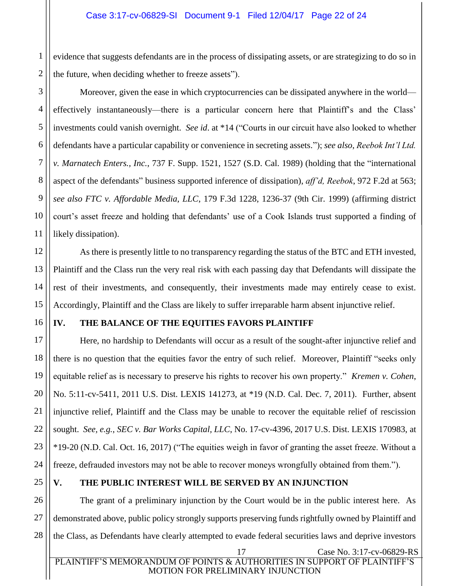1 2 evidence that suggests defendants are in the process of dissipating assets, or are strategizing to do so in the future, when deciding whether to freeze assets").

Moreover, given the ease in which cryptocurrencies can be dissipated anywhere in the world effectively instantaneously—there is a particular concern here that Plaintiff's and the Class' investments could vanish overnight. *See id*. at \*14 ("Courts in our circuit have also looked to whether defendants have a particular capability or convenience in secreting assets."); *see also*, *Reebok Int'l Ltd. v. Marnatech Enters., Inc.*, 737 F. Supp. 1521, 1527 (S.D. Cal. 1989) (holding that the "international aspect of the defendants" business supported inference of dissipation), *aff'd, Reebok*, 972 F.2d at 563; *see also FTC v. Affordable Media, LLC*, 179 F.3d 1228, 1236-37 (9th Cir. 1999) (affirming district court's asset freeze and holding that defendants' use of a Cook Islands trust supported a finding of likely dissipation).

12 As there is presently little to no transparency regarding the status of the BTC and ETH invested, Plaintiff and the Class run the very real risk with each passing day that Defendants will dissipate the rest of their investments, and consequently, their investments made may entirely cease to exist. Accordingly, Plaintiff and the Class are likely to suffer irreparable harm absent injunctive relief.

### 16

3

4

5

6

7

8

9

10

11

13

14

15

### <span id="page-21-0"></span>**IV. THE BALANCE OF THE EQUITIES FAVORS PLAINTIFF**

17 18 19 20 21 22 23 24 Here, no hardship to Defendants will occur as a result of the sought-after injunctive relief and there is no question that the equities favor the entry of such relief. Moreover, Plaintiff "seeks only equitable relief as is necessary to preserve his rights to recover his own property." *Kremen v. Cohen*, No. 5:11-cv-5411, 2011 U.S. Dist. LEXIS 141273, at \*19 (N.D. Cal. Dec. 7, 2011). Further, absent injunctive relief, Plaintiff and the Class may be unable to recover the equitable relief of rescission sought. *See, e.g.*, *SEC v. Bar Works Capital, LLC*, No. 17-cv-4396, 2017 U.S. Dist. LEXIS 170983, at \*19-20 (N.D. Cal. Oct. 16, 2017) ("The equities weigh in favor of granting the asset freeze. Without a freeze, defrauded investors may not be able to recover moneys wrongfully obtained from them.").

25

### <span id="page-21-1"></span>**V. THE PUBLIC INTEREST WILL BE SERVED BY AN INJUNCTION**

26 27 28 The grant of a preliminary injunction by the Court would be in the public interest here. As demonstrated above, public policy strongly supports preserving funds rightfully owned by Plaintiff and the Class, as Defendants have clearly attempted to evade federal securities laws and deprive investors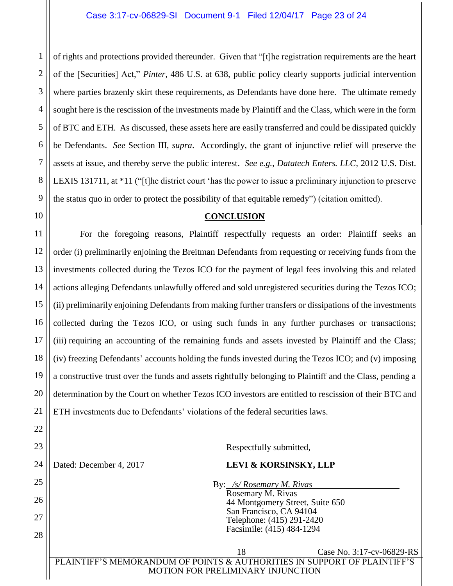2 of rights and protections provided thereunder. Given that "[t]he registration requirements are the heart of the [Securities] Act," *Pinter*, 486 U.S. at 638, public policy clearly supports judicial intervention where parties brazenly skirt these requirements, as Defendants have done here. The ultimate remedy sought here is the rescission of the investments made by Plaintiff and the Class, which were in the form of BTC and ETH. As discussed, these assets here are easily transferred and could be dissipated quickly be Defendants. *See* Section III, *supra*. Accordingly, the grant of injunctive relief will preserve the assets at issue, and thereby serve the public interest. *See e.g.*, *Datatech Enters. LLC*, 2012 U.S. Dist. LEXIS 131711, at \*11 ("[t]he district court 'has the power to issue a preliminary injunction to preserve the status quo in order to protect the possibility of that equitable remedy") (citation omitted).

#### **CONCLUSION**

<span id="page-22-0"></span>For the foregoing reasons, Plaintiff respectfully requests an order: Plaintiff seeks an order (i) preliminarily enjoining the Breitman Defendants from requesting or receiving funds from the investments collected during the Tezos ICO for the payment of legal fees involving this and related actions alleging Defendants unlawfully offered and sold unregistered securities during the Tezos ICO; (ii) preliminarily enjoining Defendants from making further transfers or dissipations of the investments collected during the Tezos ICO, or using such funds in any further purchases or transactions; (iii) requiring an accounting of the remaining funds and assets invested by Plaintiff and the Class; (iv) freezing Defendants' accounts holding the funds invested during the Tezos ICO; and (v) imposing a constructive trust over the funds and assets rightfully belonging to Plaintiff and the Class, pending a determination by the Court on whether Tezos ICO investors are entitled to rescission of their BTC and ETH investments due to Defendants' violations of the federal securities laws.

18 Case No. 3:17-cv-06829-RS Respectfully submitted, Dated: December 4, 2017 **LEVI & KORSINSKY, LLP** By: */s/ Rosemary M. Rivas*  Rosemary M. Rivas 44 Montgomery Street, Suite 650 San Francisco, CA 94104 Telephone: (415) 291-2420 Facsimile: (415) 484-1294

PLAINTIFF'S MEMORANDUM OF POINTS & AUTHORITIES IN SUPPORT OF PLAINTIFF'S MOTION FOR PRELIMINARY INJUNCTION